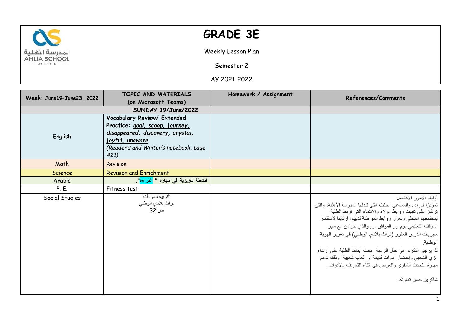

## **GRADE 3E**

Weekly Lesson Plan

Semester 2

AY 2021-2022

|                           | TOPIC AND MATERIALS                              | Homework / Assignment | References/Comments                                              |
|---------------------------|--------------------------------------------------|-----------------------|------------------------------------------------------------------|
| Week: June19-June23, 2022 | (on Microsoft Teams)                             |                       |                                                                  |
|                           | SUNDAY 19/June/2022                              |                       |                                                                  |
|                           | Vocabulary Review/ Extended                      |                       |                                                                  |
|                           | Practice: goal, scoop, journey,                  |                       |                                                                  |
|                           | disappeared, discovery, crystal,                 |                       |                                                                  |
| English                   | joyful, unaware                                  |                       |                                                                  |
|                           | (Reader's and Writer's notebook, page            |                       |                                                                  |
|                           | 421)                                             |                       |                                                                  |
| Math                      | Revision                                         |                       |                                                                  |
| <b>Science</b>            | <b>Revision and Enrichment</b>                   |                       |                                                                  |
| Arabic                    | أنشطة تعزيزية في مهارة " <mark>القراءة</mark> ". |                       |                                                                  |
| P. E.                     | Fitness test                                     |                       |                                                                  |
| Social Studies            | التربية للمواطنة                                 |                       | أولياء الأمور الأفاضل                                            |
|                           | تراث بلادي الوطني                                |                       | تعزيزا للرؤى والمساعي الحثيثة التي تبذلها المدرسة الأهلية، والتي |
|                           | ص:32                                             |                       | ترتكز على تثبيت روابط الولاء والانتماء التي تربط الطلبة          |
|                           |                                                  |                       | بمجتمعهم المحلى وتعزز روابط المواطنة لديهم، ارتأينا لاستثمار     |
|                           |                                                  |                       | الموقف التعليمي يوم  الموافق  والذي يتزامن مع سير                |
|                           |                                                  |                       | مجريات الدرس المقرر (تراث بلادي الوطني) في تعزيز الهوية          |
|                           |                                                  |                       | الوطنية.                                                         |
|                           |                                                  |                       | لذا يرجى النكرم -في حال الرغبة- بحث أبنائنا الطلبة على ارتداء    |
|                           |                                                  |                       | الزي الشعبي وإحضار أدوات قديمة أو ألعاب شعبية، وذلك لدعم         |
|                           |                                                  |                       | مهارة التحدث الشفوي والعرض في أثناء التعريف بالأدوات.            |
|                           |                                                  |                       | شاكرين حسن تعاونكم                                               |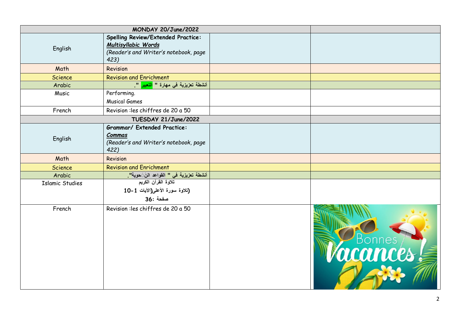|                        | MONDAY 20/June/2022                                                                                        |        |
|------------------------|------------------------------------------------------------------------------------------------------------|--------|
| English                | Spelling Review/Extended Practice:<br>Multisyllabic Words<br>(Reader's and Writer's notebook, page<br>423) |        |
| Math                   | Revision                                                                                                   |        |
| <b>Science</b>         | <b>Revision and Enrichment</b>                                                                             |        |
| Arabic                 | أنشطة تعزيزية في مهارة " <mark>التعبير</mark> ".                                                           |        |
| Music                  | Performing.<br><b>Musical Games</b>                                                                        |        |
| French                 | Revision : les chiffres de 20 a 50                                                                         |        |
|                        | TUESDAY 21/June/2022                                                                                       |        |
| English                | <b>Grammar/ Extended Practice:</b><br>Commas<br>(Reader's and Writer's notebook, page<br>422)              |        |
| Math                   | Revision                                                                                                   |        |
| <b>Science</b>         | <b>Revision and Enrichment</b>                                                                             |        |
| Arabic                 | أنشطة تعزيزية في " القواعد النَّ َحوية" <mark>.</mark>                                                     |        |
| <b>Islamic Studies</b> | تلاوة القرآن الكريم<br>(تلاوة سورة الأعلى(الآيات 1-10<br>صفحة :36                                          |        |
| French                 | Revision : les chiffres de 20 a 50                                                                         | Ronnes |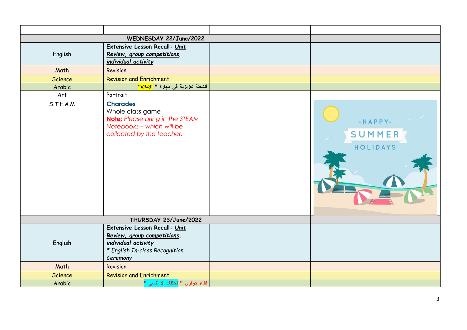|                | WEDNESDAY 22/June/2022                                                                                                                  |                               |
|----------------|-----------------------------------------------------------------------------------------------------------------------------------------|-------------------------------|
| English        | Extensive Lesson Recall: Unit<br>Review, group competitions,<br>individual activity                                                     |                               |
| Math           | Revision                                                                                                                                |                               |
| Science        | <b>Revision and Enrichment</b>                                                                                                          |                               |
| Arabic         | أنشطة تعزيزية في مهارة " <mark>الإملاء"</mark> .                                                                                        |                               |
| Art            | Portrait                                                                                                                                |                               |
| S.T.E.A.M      | <b>Charades</b><br>Whole class game<br><b>Note:</b> Please bring in the STEAM<br>Notebooks - which will be<br>collected by the teacher. | -HAPPY-<br>SUMMER<br>HOLIDAYS |
|                | THURSDAY 23/June/2022                                                                                                                   |                               |
| English        | Extensive Lesson Recall: Unit<br>Review, group competitions,<br>individual activity<br>* English In-class Recognition<br>Ceremony       |                               |
| Math           | Revision                                                                                                                                |                               |
| <b>Science</b> | <b>Revision and Enrichment</b>                                                                                                          |                               |
| Arabic         | لقاء حواري " <mark>لحظات لا تنسى "</mark>                                                                                               |                               |